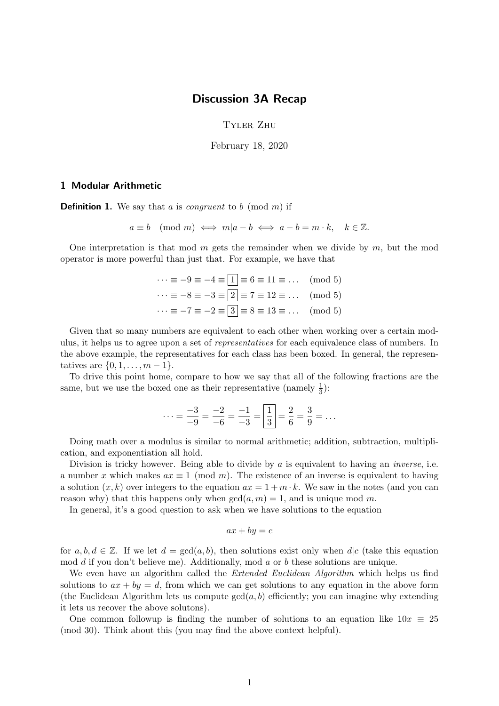## Discussion 3A Recap

Tyler Zhu

February 18, 2020

## 1 Modular Arithmetic

**Definition 1.** We say that a is *congruent* to b (mod m) if

 $a \equiv b \pmod{m} \iff m|a-b \iff a-b=m \cdot k, \quad k \in \mathbb{Z}.$ 

One interpretation is that mod  $m$  gets the remainder when we divide by  $m$ , but the mod operator is more powerful than just that. For example, we have that

| $\cdots \equiv -9 \equiv -4 \equiv  1  \equiv 6 \equiv 11 \equiv \dots \pmod{5}$       |  |
|----------------------------------------------------------------------------------------|--|
| $\cdots \equiv -8 \equiv -3 \equiv \boxed{2} \equiv 7 \equiv 12 \equiv \dots \pmod{5}$ |  |
| $\cdots \equiv -7 \equiv -2 \equiv 3 \equiv 8 \equiv 13 \equiv \dots \pmod{5}$         |  |

Given that so many numbers are equivalent to each other when working over a certain modulus, it helps us to agree upon a set of representatives for each equivalence class of numbers. In the above example, the representatives for each class has been boxed. In general, the representatives are  $\{0, 1, \ldots, m-1\}.$ 

To drive this point home, compare to how we say that all of the following fractions are the same, but we use the boxed one as their representative (namely  $\frac{1}{3}$ ):

$$
\cdots = \frac{-3}{-9} = \frac{-2}{-6} = \frac{-1}{-3} = \boxed{\frac{1}{3}} = \frac{2}{6} = \frac{3}{9} = \dots
$$

Doing math over a modulus is similar to normal arithmetic; addition, subtraction, multiplication, and exponentiation all hold.

Division is tricky however. Being able to divide by  $a$  is equivalent to having an *inverse*, i.e. a number x which makes  $ax \equiv 1 \pmod{m}$ . The existence of an inverse is equivalent to having a solution  $(x, k)$  over integers to the equation  $ax = 1 + m \cdot k$ . We saw in the notes (and you can reason why) that this happens only when  $gcd(a, m) = 1$ , and is unique mod m.

In general, it's a good question to ask when we have solutions to the equation

$$
ax + by = c
$$

for  $a, b, d \in \mathbb{Z}$ . If we let  $d = \gcd(a, b)$ , then solutions exist only when  $d|c$  (take this equation mod  $d$  if you don't believe me). Additionally, mod  $a$  or  $b$  these solutions are unique.

We even have an algorithm called the *Extended Euclidean Algorithm* which helps us find solutions to  $ax + by = d$ , from which we can get solutions to any equation in the above form (the Euclidean Algorithm lets us compute  $gcd(a, b)$  efficiently; you can imagine why extending it lets us recover the above solutons).

One common followup is finding the number of solutions to an equation like  $10x \equiv 25$ (mod 30). Think about this (you may find the above context helpful).